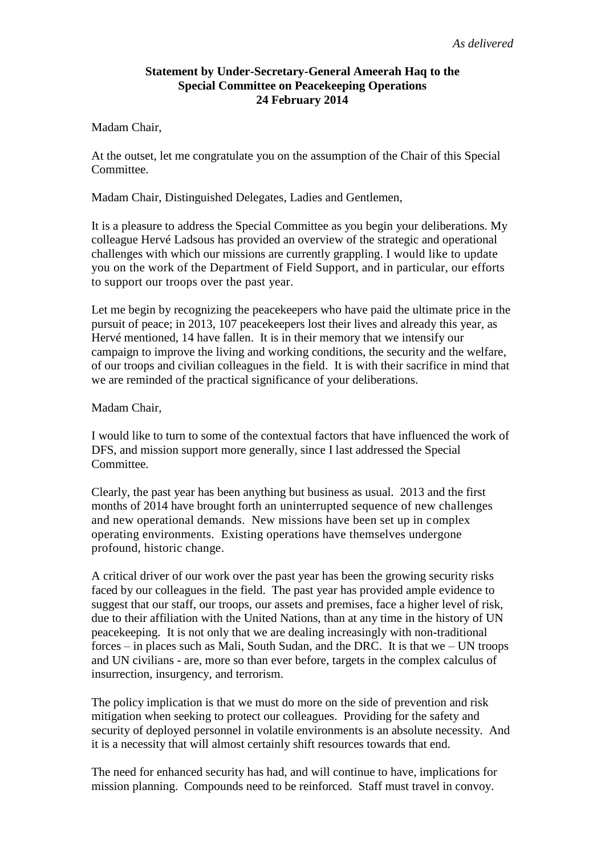# **Statement by Under-Secretary-General Ameerah Haq to the Special Committee on Peacekeeping Operations 24 February 2014**

Madam Chair,

At the outset, let me congratulate you on the assumption of the Chair of this Special Committee.

Madam Chair, Distinguished Delegates, Ladies and Gentlemen,

It is a pleasure to address the Special Committee as you begin your deliberations. My colleague Hervé Ladsous has provided an overview of the strategic and operational challenges with which our missions are currently grappling. I would like to update you on the work of the Department of Field Support, and in particular, our efforts to support our troops over the past year.

Let me begin by recognizing the peacekeepers who have paid the ultimate price in the pursuit of peace; in 2013, 107 peacekeepers lost their lives and already this year, as Hervé mentioned, 14 have fallen. It is in their memory that we intensify our campaign to improve the living and working conditions, the security and the welfare, of our troops and civilian colleagues in the field. It is with their sacrifice in mind that we are reminded of the practical significance of your deliberations.

#### Madam Chair,

I would like to turn to some of the contextual factors that have influenced the work of DFS, and mission support more generally, since I last addressed the Special Committee.

Clearly, the past year has been anything but business as usual. 2013 and the first months of 2014 have brought forth an uninterrupted sequence of new challenges and new operational demands. New missions have been set up in complex operating environments. Existing operations have themselves undergone profound, historic change.

A critical driver of our work over the past year has been the growing security risks faced by our colleagues in the field. The past year has provided ample evidence to suggest that our staff, our troops, our assets and premises, face a higher level of risk, due to their affiliation with the United Nations, than at any time in the history of UN peacekeeping. It is not only that we are dealing increasingly with non-traditional forces – in places such as Mali, South Sudan, and the DRC. It is that we – UN troops and UN civilians - are, more so than ever before, targets in the complex calculus of insurrection, insurgency, and terrorism.

The policy implication is that we must do more on the side of prevention and risk mitigation when seeking to protect our colleagues. Providing for the safety and security of deployed personnel in volatile environments is an absolute necessity. And it is a necessity that will almost certainly shift resources towards that end.

The need for enhanced security has had, and will continue to have, implications for mission planning. Compounds need to be reinforced. Staff must travel in convoy.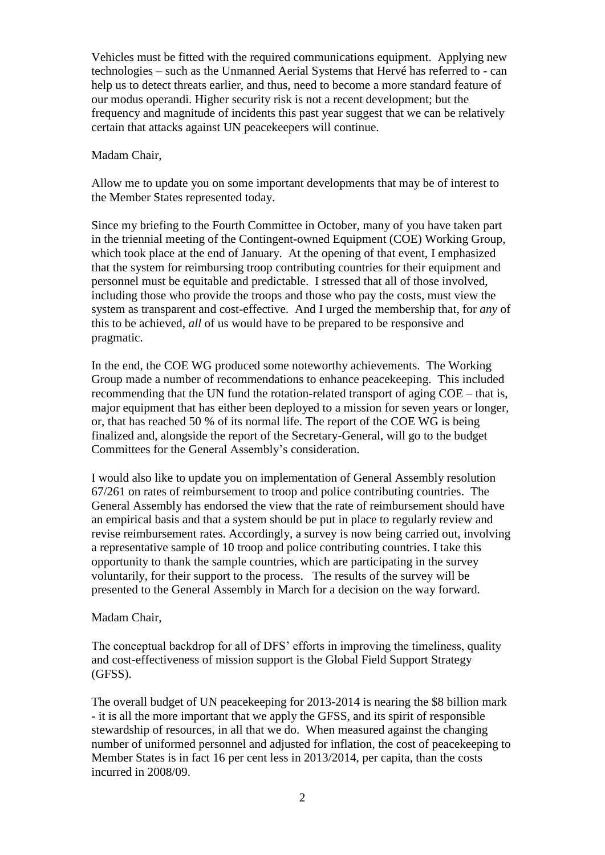Vehicles must be fitted with the required communications equipment. Applying new technologies – such as the Unmanned Aerial Systems that Hervé has referred to - can help us to detect threats earlier, and thus, need to become a more standard feature of our modus operandi. Higher security risk is not a recent development; but the frequency and magnitude of incidents this past year suggest that we can be relatively certain that attacks against UN peacekeepers will continue.

#### Madam Chair,

Allow me to update you on some important developments that may be of interest to the Member States represented today.

Since my briefing to the Fourth Committee in October, many of you have taken part in the triennial meeting of the Contingent-owned Equipment (COE) Working Group, which took place at the end of January. At the opening of that event, I emphasized that the system for reimbursing troop contributing countries for their equipment and personnel must be equitable and predictable. I stressed that all of those involved, including those who provide the troops and those who pay the costs, must view the system as transparent and cost-effective. And I urged the membership that, for *any* of this to be achieved, *all* of us would have to be prepared to be responsive and pragmatic.

In the end, the COE WG produced some noteworthy achievements. The Working Group made a number of recommendations to enhance peacekeeping. This included recommending that the UN fund the rotation-related transport of aging COE – that is, major equipment that has either been deployed to a mission for seven years or longer, or, that has reached 50 % of its normal life. The report of the COE WG is being finalized and, alongside the report of the Secretary-General, will go to the budget Committees for the General Assembly's consideration.

I would also like to update you on implementation of General Assembly resolution 67/261 on rates of reimbursement to troop and police contributing countries. The General Assembly has endorsed the view that the rate of reimbursement should have an empirical basis and that a system should be put in place to regularly review and revise reimbursement rates. Accordingly, a survey is now being carried out, involving a representative sample of 10 troop and police contributing countries. I take this opportunity to thank the sample countries, which are participating in the survey voluntarily, for their support to the process. The results of the survey will be presented to the General Assembly in March for a decision on the way forward.

### Madam Chair,

The conceptual backdrop for all of DFS' efforts in improving the timeliness, quality and cost-effectiveness of mission support is the Global Field Support Strategy (GFSS).

The overall budget of UN peacekeeping for 2013-2014 is nearing the \$8 billion mark - it is all the more important that we apply the GFSS, and its spirit of responsible stewardship of resources, in all that we do. When measured against the changing number of uniformed personnel and adjusted for inflation, the cost of peacekeeping to Member States is in fact 16 per cent less in 2013/2014, per capita, than the costs incurred in 2008/09.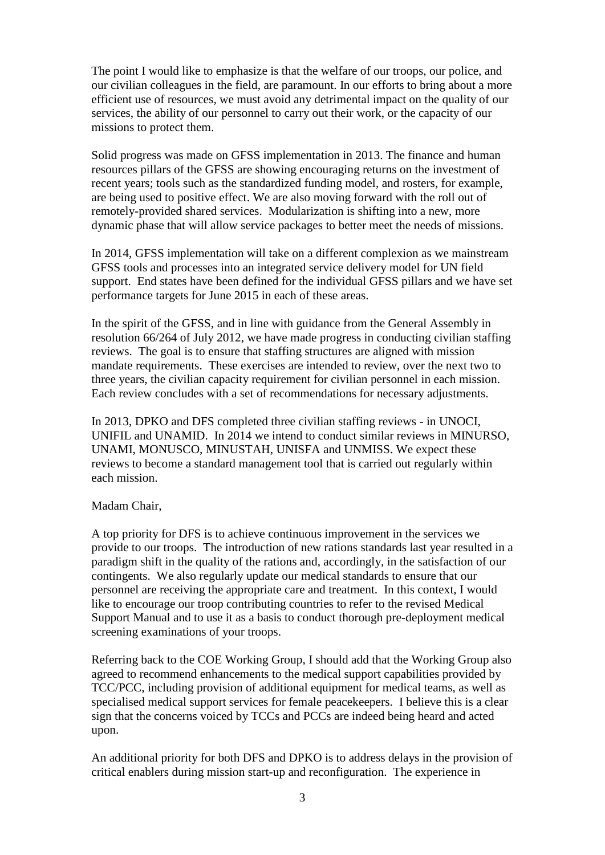The point I would like to emphasize is that the welfare of our troops, our police, and our civilian colleagues in the field, are paramount. In our efforts to bring about a more efficient use of resources, we must avoid any detrimental impact on the quality of our services, the ability of our personnel to carry out their work, or the capacity of our missions to protect them.

Solid progress was made on GFSS implementation in 2013. The finance and human resources pillars of the GFSS are showing encouraging returns on the investment of recent years; tools such as the standardized funding model, and rosters, for example, are being used to positive effect. We are also moving forward with the roll out of remotely-provided shared services. Modularization is shifting into a new, more dynamic phase that will allow service packages to better meet the needs of missions.

In 2014, GFSS implementation will take on a different complexion as we mainstream GFSS tools and processes into an integrated service delivery model for UN field support. End states have been defined for the individual GFSS pillars and we have set performance targets for June 2015 in each of these areas.

In the spirit of the GFSS, and in line with guidance from the General Assembly in resolution 66/264 of July 2012, we have made progress in conducting civilian staffing reviews. The goal is to ensure that staffing structures are aligned with mission mandate requirements. These exercises are intended to review, over the next two to three years, the civilian capacity requirement for civilian personnel in each mission. Each review concludes with a set of recommendations for necessary adjustments.

In 2013, DPKO and DFS completed three civilian staffing reviews - in UNOCI, UNIFIL and UNAMID. In 2014 we intend to conduct similar reviews in MINURSO, UNAMI, MONUSCO, MINUSTAH, UNISFA and UNMISS. We expect these reviews to become a standard management tool that is carried out regularly within each mission.

### Madam Chair,

A top priority for DFS is to achieve continuous improvement in the services we provide to our troops. The introduction of new rations standards last year resulted in a paradigm shift in the quality of the rations and, accordingly, in the satisfaction of our contingents. We also regularly update our medical standards to ensure that our personnel are receiving the appropriate care and treatment. In this context, I would like to encourage our troop contributing countries to refer to the revised Medical Support Manual and to use it as a basis to conduct thorough pre-deployment medical screening examinations of your troops.

Referring back to the COE Working Group, I should add that the Working Group also agreed to recommend enhancements to the medical support capabilities provided by TCC/PCC, including provision of additional equipment for medical teams, as well as specialised medical support services for female peacekeepers. I believe this is a clear sign that the concerns voiced by TCCs and PCCs are indeed being heard and acted upon.

An additional priority for both DFS and DPKO is to address delays in the provision of critical enablers during mission start-up and reconfiguration. The experience in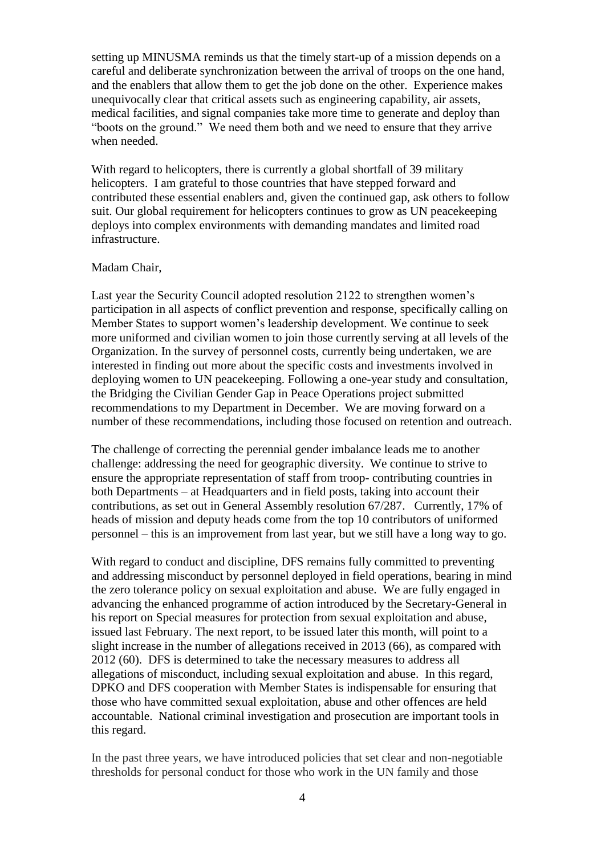setting up MINUSMA reminds us that the timely start-up of a mission depends on a careful and deliberate synchronization between the arrival of troops on the one hand, and the enablers that allow them to get the job done on the other. Experience makes unequivocally clear that critical assets such as engineering capability, air assets, medical facilities, and signal companies take more time to generate and deploy than "boots on the ground." We need them both and we need to ensure that they arrive when needed.

With regard to helicopters, there is currently a global shortfall of 39 military helicopters. I am grateful to those countries that have stepped forward and contributed these essential enablers and, given the continued gap, ask others to follow suit. Our global requirement for helicopters continues to grow as UN peacekeeping deploys into complex environments with demanding mandates and limited road infrastructure.

#### Madam Chair,

Last year the Security Council adopted resolution 2122 to strengthen women's participation in all aspects of conflict prevention and response, specifically calling on Member States to support women's leadership development. We continue to seek more uniformed and civilian women to join those currently serving at all levels of the Organization. In the survey of personnel costs, currently being undertaken, we are interested in finding out more about the specific costs and investments involved in deploying women to UN peacekeeping. Following a one-year study and consultation, the Bridging the Civilian Gender Gap in Peace Operations project submitted recommendations to my Department in December. We are moving forward on a number of these recommendations, including those focused on retention and outreach.

The challenge of correcting the perennial gender imbalance leads me to another challenge: addressing the need for geographic diversity. We continue to strive to ensure the appropriate representation of staff from troop- contributing countries in both Departments – at Headquarters and in field posts, taking into account their contributions, as set out in General Assembly resolution 67/287. Currently, 17% of heads of mission and deputy heads come from the top 10 contributors of uniformed personnel – this is an improvement from last year, but we still have a long way to go.

With regard to conduct and discipline, DFS remains fully committed to preventing and addressing misconduct by personnel deployed in field operations, bearing in mind the zero tolerance policy on sexual exploitation and abuse. We are fully engaged in advancing the enhanced programme of action introduced by the Secretary-General in his report on Special measures for protection from sexual exploitation and abuse, issued last February. The next report, to be issued later this month, will point to a slight increase in the number of allegations received in 2013 (66), as compared with 2012 (60). DFS is determined to take the necessary measures to address all allegations of misconduct, including sexual exploitation and abuse. In this regard, DPKO and DFS cooperation with Member States is indispensable for ensuring that those who have committed sexual exploitation, abuse and other offences are held accountable. National criminal investigation and prosecution are important tools in this regard.

In the past three years, we have introduced policies that set clear and non-negotiable thresholds for personal conduct for those who work in the UN family and those